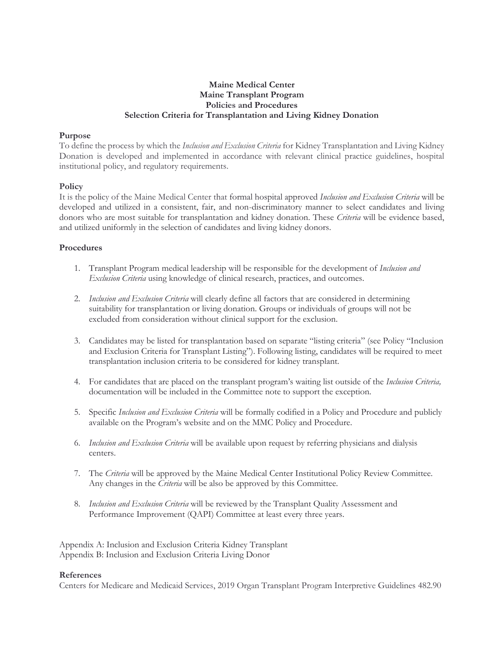# **Maine Medical Center Maine Transplant Program Policies and Procedures Selection Criteria for Transplantation and Living Kidney Donation**

#### **Purpose**

To define the process by which the *Inclusion and Exclusion Criteria* for Kidney Transplantation and Living Kidney Donation is developed and implemented in accordance with relevant clinical practice guidelines, hospital institutional policy, and regulatory requirements.

## **Policy**

It is the policy of the Maine Medical Center that formal hospital approved *Inclusion and Exclusion Criteria* will be developed and utilized in a consistent, fair, and non-discriminatory manner to select candidates and living donors who are most suitable for transplantation and kidney donation. These *Criteria* will be evidence based, and utilized uniformly in the selection of candidates and living kidney donors.

## **Procedures**

- 1. Transplant Program medical leadership will be responsible for the development of *Inclusion and Exclusion Criteria* using knowledge of clinical research, practices, and outcomes.
- 2. *Inclusion and Exclusion Criteria* will clearly define all factors that are considered in determining suitability for transplantation or living donation. Groups or individuals of groups will not be excluded from consideration without clinical support for the exclusion.
- 3. Candidates may be listed for transplantation based on separate "listing criteria" (see Policy "Inclusion and Exclusion Criteria for Transplant Listing"). Following listing, candidates will be required to meet transplantation inclusion criteria to be considered for kidney transplant.
- 4. For candidates that are placed on the transplant program's waiting list outside of the *Inclusion Criteria,*  documentation will be included in the Committee note to support the exception.
- 5. Specific *Inclusion and Exclusion Criteria* will be formally codified in a Policy and Procedure and publicly available on the Program's website and on the MMC Policy and Procedure.
- 6. *Inclusion and Exclusion Criteria* will be available upon request by referring physicians and dialysis centers.
- 7. The *Criteria* will be approved by the Maine Medical Center Institutional Policy Review Committee. Any changes in the *Criteria* will be also be approved by this Committee.
- 8. *Inclusion and Exclusion Criteria* will be reviewed by the Transplant Quality Assessment and Performance Improvement (QAPI) Committee at least every three years.

Appendix A: Inclusion and Exclusion Criteria Kidney Transplant Appendix B: Inclusion and Exclusion Criteria Living Donor

#### **References**

Centers for Medicare and Medicaid Services, 2019 Organ Transplant Program Interpretive Guidelines 482.90